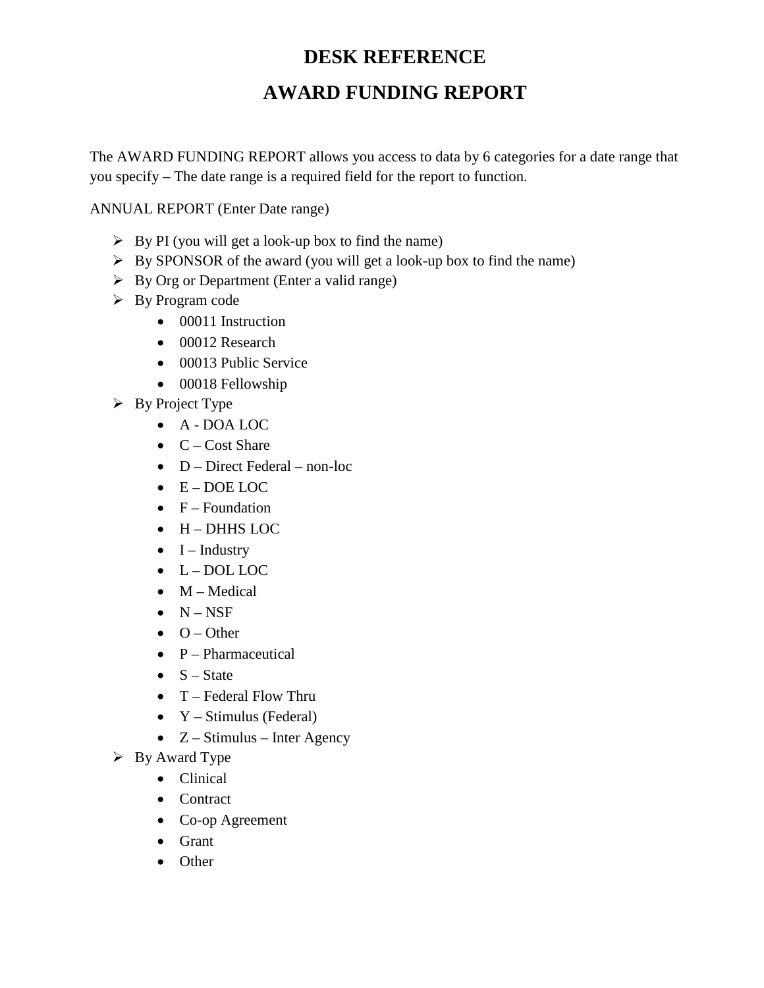# **DESK REFERENCE AWARD FUNDING REPORT**

The AWARD FUNDING REPORT allows you access to data by 6 categories for a date range that you specify – The date range is a required field for the report to function.

ANNUAL REPORT (Enter Date range)

- $\triangleright$  By PI (you will get a look-up box to find the name)
- $\triangleright$  By SPONSOR of the award (you will get a look-up box to find the name)
- $\triangleright$  By Org or Department (Enter a valid range)
- $\triangleright$  By Program code
	- 00011 Instruction
	- 00012 Research
	- 00013 Public Service
	- 00018 Fellowship
- $\triangleright$  By Project Type
	- A DOA LOC
	- $\bullet$  C Cost Share
	- D Direct Federal non-loc
	- E DOE LOC
	- $\bullet$  F Foundation
	- H DHHS LOC
	- $\bullet$  I Industry
	- $\bullet$  L DOL LOC
	- $\bullet$  M Medical
	- $\bullet$  N NSF
	- $\bullet$  O Other
	- $\bullet$  P Pharmaceutical
	- $S State$
	- $T Federal Flow Thru$
	- $Y Stimulus (Federal)$
	- $Z Stimulus Inter Agency$
- $\triangleright$  By Award Type
	- Clinical
	- Contract
	- Co-op Agreement
	- Grant
	- Other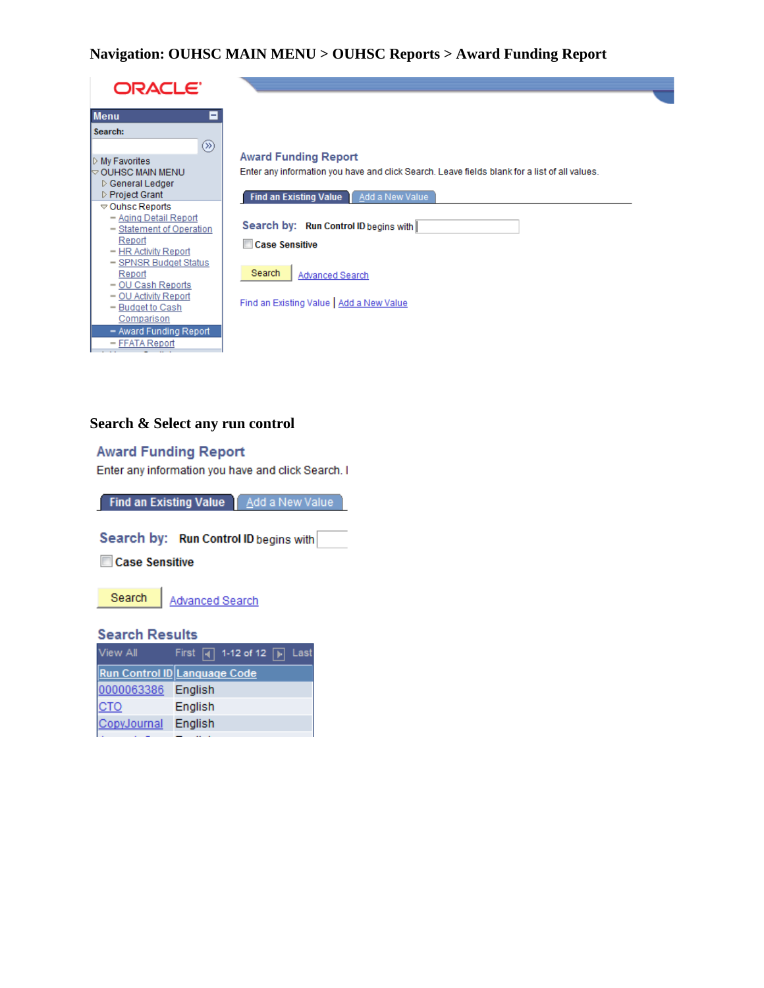## Navigation: OUHSC MAIN MENU > OUHSC Reports > Award Funding Report

| ORACLE <sup>®</sup>                                                                                        |                                                                                                                              |
|------------------------------------------------------------------------------------------------------------|------------------------------------------------------------------------------------------------------------------------------|
| <b>Menu</b><br>Е                                                                                           |                                                                                                                              |
| Search:                                                                                                    |                                                                                                                              |
| ⊗<br>My Favorites<br>$\mathbin{\vartriangleright}$ OUHSC MAIN MENU.<br>▷ General Ledger<br>▷ Project Grant | <b>Award Funding Report</b><br>Enter any information you have and click Search. Leave fields blank for a list of all values. |
| $\triangledown$ Ouhsc Reports<br>- Aging Detail Report<br>- Statement of Operation<br>Report               | Find an Existing Value   Add a New Value<br>Search by: Run Control ID begins with                                            |
| - HR Activity Report<br>- SPNSR Budget Status<br>Report<br>- OU Cash Reports                               | <b>Case Sensitive</b><br>Search<br>Advanced Search                                                                           |
| - OU Activity Report<br>- Budget to Cash<br>Comparison<br>- Award Funding Report                           | Find an Existing Value   Add a New Value                                                                                     |
| - FFATA Report                                                                                             |                                                                                                                              |

# Search & Select any run control

#### **Award Funding Report**

Enter any information you have and click Search. I

Find an Existing Value | Add a New Value

Search by: Run Control ID begins with

**Case Sensitive** 



Search | Advanced Search

#### **Search Results**

| View All            | First $\boxed{4}$ 1-12 of 12 $\boxed{p}$ Last |
|---------------------|-----------------------------------------------|
|                     | Run Control ID Language Code                  |
| 0000063386 English  |                                               |
| <b>CTO</b>          | English                                       |
| CopyJournal English |                                               |
|                     |                                               |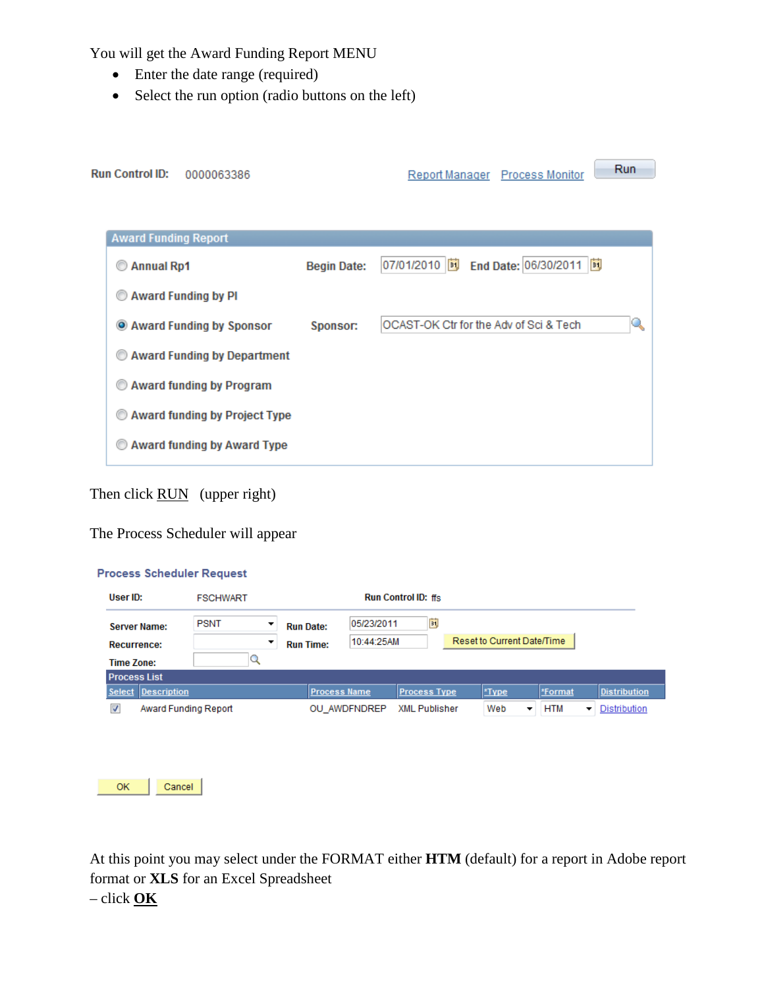You will get the Award Funding Report MENU

- Enter the date range (required)
- Select the run option (radio buttons on the left)

| <b>Run Control ID:</b><br>0000063386 |                    |                                        |  | Report Manager Process Monitor | <b>Run</b> |  |  |
|--------------------------------------|--------------------|----------------------------------------|--|--------------------------------|------------|--|--|
|                                      |                    |                                        |  |                                |            |  |  |
| <b>Award Funding Report</b>          |                    |                                        |  |                                |            |  |  |
| Annual Rp1                           | <b>Begin Date:</b> | 07/01/2010                             |  | End Date: 06/30/2011   3       |            |  |  |
| <b>Award Funding by PI</b><br>⊙      |                    |                                        |  |                                |            |  |  |
| C Award Funding by Sponsor           | Sponsor:           | OCAST-OK Ctr for the Adv of Sci & Tech |  |                                |            |  |  |
| Award Funding by Department          |                    |                                        |  |                                |            |  |  |
| <b>Award funding by Program</b>      |                    |                                        |  |                                |            |  |  |
| <b>Award funding by Project Type</b> |                    |                                        |  |                                |            |  |  |
| Award funding by Award Type<br>⊙     |                    |                                        |  |                                |            |  |  |

# Then click <u>RUN</u> (upper right)

## The Process Scheduler will appear

#### **Process Scheduler Request**

| User ID:                 | <b>FSCHWART</b>      |                  |                                            | <b>Run Control ID: ffs.</b> |                            |     |            |                     |  |  |
|--------------------------|----------------------|------------------|--------------------------------------------|-----------------------------|----------------------------|-----|------------|---------------------|--|--|
| <b>Server Name:</b>      | <b>PSNT</b><br>▼     | <b>Run Date:</b> | 05/23/2011                                 | ij                          |                            |     |            |                     |  |  |
| Recurrence:              | ▼                    | <b>Run Time:</b> | 10:44:25AM                                 |                             | Reset to Current Date/Time |     |            |                     |  |  |
| <b>Time Zone:</b>        | ◡                    |                  |                                            |                             |                            |     |            |                     |  |  |
| <b>Process List</b>      |                      |                  |                                            |                             |                            |     |            |                     |  |  |
| Description<br>Select    |                      |                  | <b>Process Name</b><br><b>Process Type</b> |                             | *Type                      |     | *Format    | <b>Distribution</b> |  |  |
| $\overline{\mathcal{A}}$ | Award Funding Report |                  | OU AWDFNDREP                               | <b>XML Publisher</b>        |                            | Web | <b>HTM</b> | Distribution        |  |  |



At this point you may select under the FORMAT either **HTM** (default) for a report in Adobe report format or **XLS** for an Excel Spreadsheet – click **OK**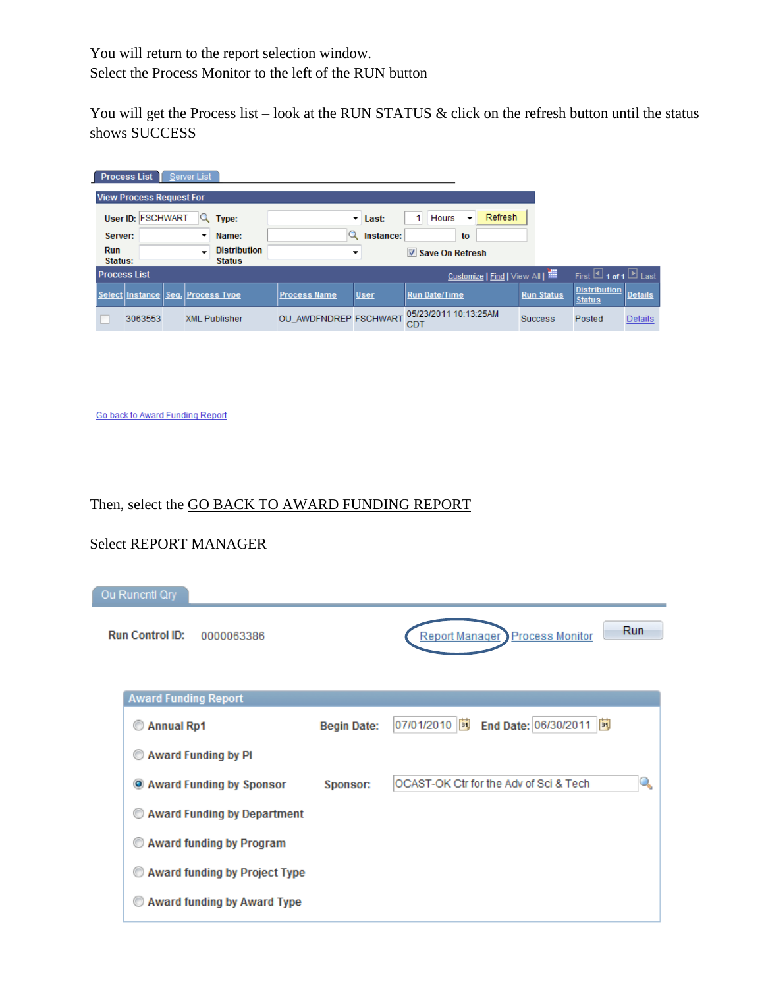You will return to the report selection window. Select the Process Monitor to the left of the RUN button

You will get the Process list – look at the RUN STATUS & click on the refresh button until the status shows SUCCESS

|            | <b>Process List</b><br>Server List |         |  |   |                                      |                                             |                                |                                 |                                   |                   |                                      |                |
|------------|------------------------------------|---------|--|---|--------------------------------------|---------------------------------------------|--------------------------------|---------------------------------|-----------------------------------|-------------------|--------------------------------------|----------------|
|            | <b>View Process Request For</b>    |         |  |   |                                      |                                             |                                |                                 |                                   |                   |                                      |                |
|            | User ID: FSCHWART                  |         |  |   | Type:                                |                                             | $\overline{\phantom{a}}$ Last: | <b>Hours</b>                    | <b>Refresh</b>                    |                   |                                      |                |
|            | Server:                            |         |  | ▼ | Name:                                |                                             | Instance:                      | to                              |                                   |                   |                                      |                |
| <b>Run</b> | Status:                            |         |  |   | <b>Distribution</b><br><b>Status</b> |                                             |                                | $\triangledown$ Save On Refresh |                                   |                   |                                      |                |
|            | <b>Process List</b>                |         |  |   |                                      |                                             |                                |                                 | Customize   Find   View All   THE |                   | First $\Box$ 1 of 1 $\Box$ Last      |                |
|            |                                    |         |  |   | Select Instance Seq. Process Type    | <b>Process Name</b>                         | User                           | <b>Run Date/Time</b>            |                                   | <b>Run Status</b> | <b>Distribution</b><br><b>Status</b> | <b>Details</b> |
|            |                                    | 3063553 |  |   | <b>XML Publisher</b>                 | OU_AWDFNDREP FSCHWART 05/23/2011 10:13:25AM |                                | <b>CDT</b>                      |                                   | <b>Success</b>    | Posted                               | <b>Details</b> |

Go back to Award Funding Report

#### Then, select the GO BACK TO AWARD FUNDING REPORT

#### Select REPORT MANAGER

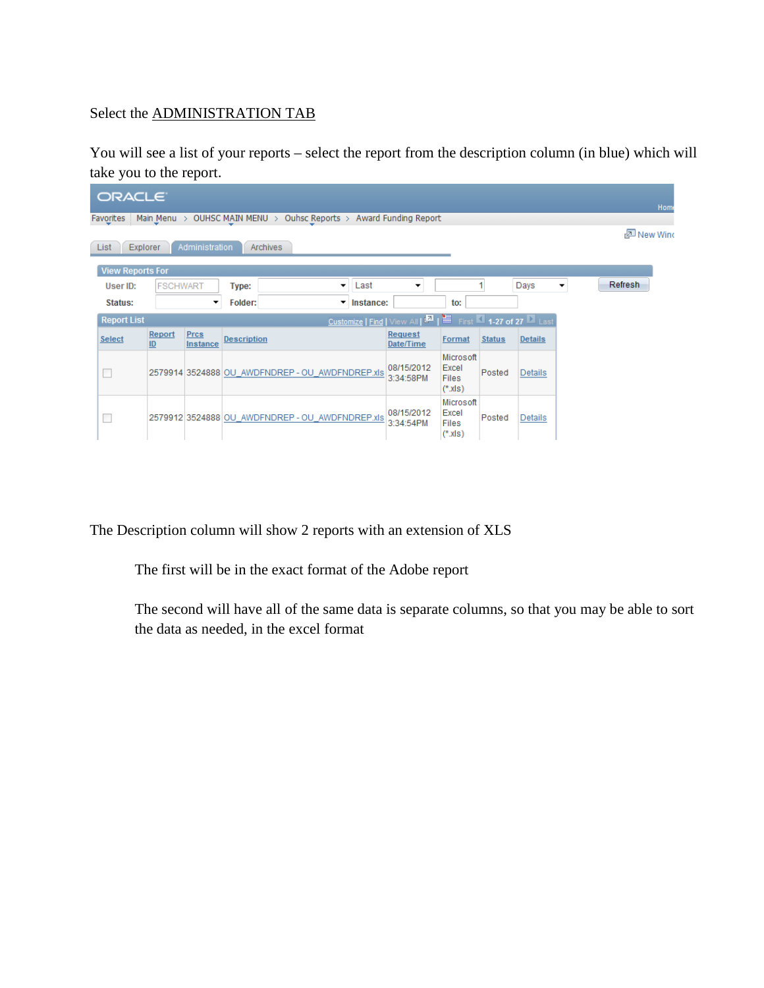# Select the ADMINISTRATION TAB

You will see a list of your reports – select the report from the description column (in blue) which will take you to the report.

| ORACLE <sup>®</sup>                                                                       |                 |                  |                                                 |           |           |                             |                                                |               |                | Home |         |  |
|-------------------------------------------------------------------------------------------|-----------------|------------------|-------------------------------------------------|-----------|-----------|-----------------------------|------------------------------------------------|---------------|----------------|------|---------|--|
| Main Menu > OUHSC MAIN MENU ><br>Ouhsc Reports > Award Funding Report<br><b>Favorites</b> |                 |                  |                                                 |           |           |                             |                                                |               |                |      |         |  |
| 图 New Wind                                                                                |                 |                  |                                                 |           |           |                             |                                                |               |                |      |         |  |
| List<br><b>Explorer</b>                                                                   |                 | Administration   | <b>Archives</b>                                 |           |           |                             |                                                |               |                |      |         |  |
| <b>View Reports For</b>                                                                   |                 |                  |                                                 |           |           |                             |                                                |               |                |      |         |  |
| User ID:                                                                                  | <b>FSCHWART</b> |                  | Type:                                           | Last<br>▼ |           | ▼                           |                                                |               | Days           | ▼    | Refresh |  |
|                                                                                           |                 |                  |                                                 |           |           |                             |                                                |               |                |      |         |  |
| Status:                                                                                   |                 | ▼                | Folder:                                         | ▼         | Instance: |                             | to:                                            |               |                |      |         |  |
| <b>Report List</b>                                                                        |                 |                  |                                                 |           |           | Tirst 1-27 of 27 Last       |                                                |               |                |      |         |  |
| <b>Select</b>                                                                             | Report<br>ID    | Prcs<br>Instance | <b>Description</b>                              |           |           | <b>Request</b><br>Date/Time | Format                                         | <b>Status</b> | <b>Details</b> |      |         |  |
|                                                                                           |                 |                  | 2579914 3524888 OU AWDFNDREP - OU AWDFNDREP.xls |           |           | 08/15/2012<br>3:34:58PM     | Microsoft<br>Excel<br><b>Files</b><br>$(*x s)$ | Posted        | Details        |      |         |  |
|                                                                                           |                 |                  | 2579912 3524888 OU AWDFNDREP - OU AWDFNDREP.xls |           |           | 08/15/2012<br>3:34:54PM     | Microsoft<br>Excel<br>Files<br>$(*x s)$        | Posted        | <b>Details</b> |      |         |  |

The Description column will show 2 reports with an extension of XLS

The first will be in the exact format of the Adobe report

The second will have all of the same data is separate columns, so that you may be able to sort the data as needed, in the excel format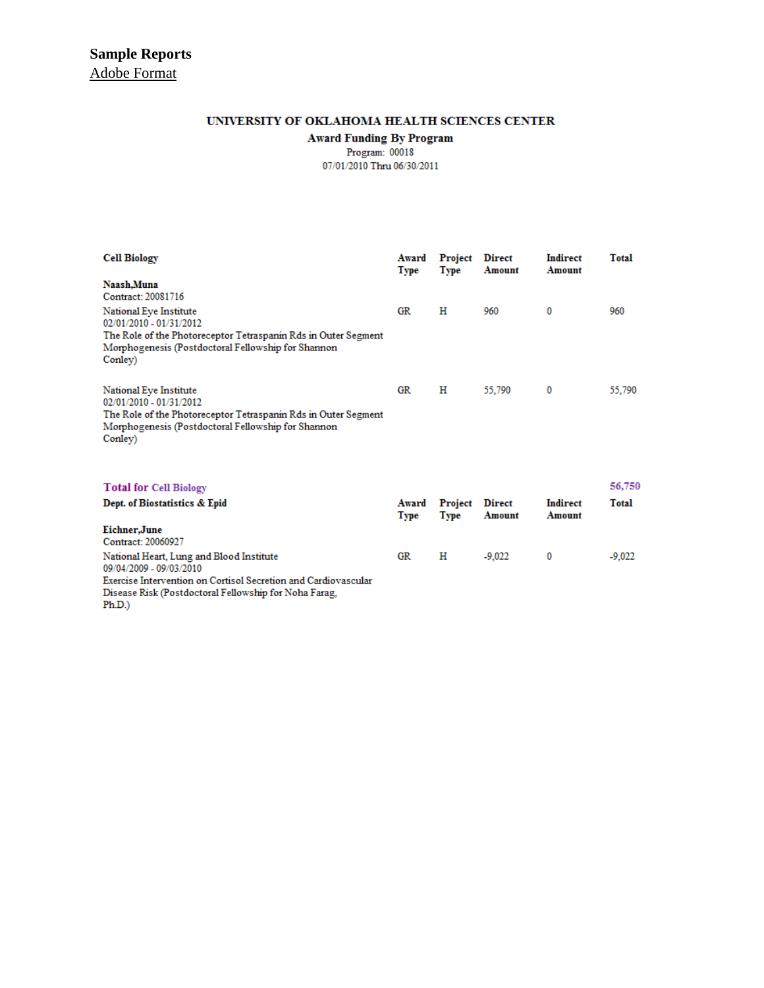#### UNIVERSITY OF OKLAHOMA HEALTH SCIENCES CENTER

**Award Funding By Program**<br>Program: 00018

07/01/2010 Thru 06/30/2011

| <b>Cell Biology</b>                                                                                                                                                                  | Award<br>Type | Project<br>Type | <b>Direct</b><br>Amount | <b>Indirect</b><br>Amount | Total    |
|--------------------------------------------------------------------------------------------------------------------------------------------------------------------------------------|---------------|-----------------|-------------------------|---------------------------|----------|
| Naash, Muna<br>Contract: 20081716                                                                                                                                                    |               |                 |                         |                           |          |
| National Eye Institute<br>02/01/2010 - 01/31/2012<br>The Role of the Photoreceptor Tetraspanin Rds in Outer Segment<br>Morphogenesis (Postdoctoral Fellowship for Shannon<br>Conley) | GR.           | н               | 960                     | 0                         | 960      |
| National Eye Institute<br>02/01/2010 - 01/31/2012<br>The Role of the Photoreceptor Tetraspanin Rds in Outer Segment<br>Morphogenesis (Postdoctoral Fellowship for Shannon<br>Conley) | GR            | н               | 55,790                  | 0                         | 55,790   |
| <b>Total for Cell Biology</b>                                                                                                                                                        |               |                 |                         |                           | 56,750   |
| Dept. of Biostatistics & Epid                                                                                                                                                        | Award<br>Type | Project<br>Type | <b>Direct</b><br>Amount | <b>Indirect</b><br>Amount | Total    |
| Eichner, June<br>Contract: 20060927                                                                                                                                                  |               |                 |                         |                           |          |
| National Heart, Lung and Blood Institute                                                                                                                                             | GR            | н               | $-9,022$                | 0                         | $-9,022$ |

09/04/2009 - 09/03/2010 Exercise Intervention on Cortisol Secretion and Cardiovascular<br>Disease Risk (Postdoctoral Fellowship for Noha Farag,  $Ph.D.)$